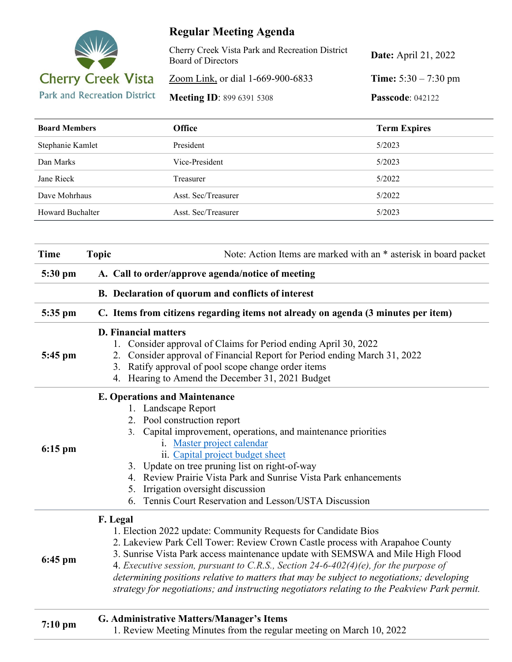

## **Regular Meeting Agenda**

| Cherry Creek Vista Park and Recreation District<br>Board of Directors | <b>Date:</b> April 21, 2022   |
|-----------------------------------------------------------------------|-------------------------------|
| Zoom Link, or dial 1-669-900-6833                                     | <b>Time:</b> $5:30 - 7:30$ pm |
| <b>Meeting ID: 899 6391 5308</b>                                      | <b>Passcode: 042122</b>       |

| <b>Board Members</b> | <b>Office</b>       | <b>Term Expires</b> |
|----------------------|---------------------|---------------------|
| Stephanie Kamlet     | President           | 5/2023              |
| Dan Marks            | Vice-President      | 5/2023              |
| Jane Rieck           | Treasurer           | 5/2022              |
| Dave Mohrhaus        | Asst. Sec/Treasurer | 5/2022              |
| Howard Buchalter     | Asst. Sec/Treasurer | 5/2023              |

| <b>Time</b> | <b>Topic</b>                                      | Note: Action Items are marked with an * asterisk in board packet                                                                                                                                                                                                                                                                                                                                                                                                                                                        |  |
|-------------|---------------------------------------------------|-------------------------------------------------------------------------------------------------------------------------------------------------------------------------------------------------------------------------------------------------------------------------------------------------------------------------------------------------------------------------------------------------------------------------------------------------------------------------------------------------------------------------|--|
| 5:30 pm     | A. Call to order/approve agenda/notice of meeting |                                                                                                                                                                                                                                                                                                                                                                                                                                                                                                                         |  |
|             |                                                   | B. Declaration of quorum and conflicts of interest                                                                                                                                                                                                                                                                                                                                                                                                                                                                      |  |
| 5:35 pm     |                                                   | C. Items from citizens regarding items not already on agenda (3 minutes per item)                                                                                                                                                                                                                                                                                                                                                                                                                                       |  |
| 5:45 pm     |                                                   | <b>D.</b> Financial matters<br>1. Consider approval of Claims for Period ending April 30, 2022<br>2. Consider approval of Financial Report for Period ending March 31, 2022<br>3. Ratify approval of pool scope change order items<br>4. Hearing to Amend the December 31, 2021 Budget                                                                                                                                                                                                                                  |  |
| $6:15$ pm   |                                                   | <b>E. Operations and Maintenance</b><br>1. Landscape Report<br>2. Pool construction report<br>Capital improvement, operations, and maintenance priorities<br>3.<br>i. Master project calendar<br>ii. Capital project budget sheet<br>3. Update on tree pruning list on right-of-way<br>4. Review Prairie Vista Park and Sunrise Vista Park enhancements<br>5. Irrigation oversight discussion<br>6. Tennis Court Reservation and Lesson/USTA Discussion                                                                 |  |
| $6:45$ pm   | F. Legal                                          | 1. Election 2022 update: Community Requests for Candidate Bios<br>2. Lakeview Park Cell Tower: Review Crown Castle process with Arapahoe County<br>3. Sunrise Vista Park access maintenance update with SEMSWA and Mile High Flood<br>4. Executive session, pursuant to C.R.S., Section 24-6-402(4)(e), for the purpose of<br>determining positions relative to matters that may be subject to negotiations; developing<br>strategy for negotiations; and instructing negotiators relating to the Peakview Park permit. |  |
| $7:10$ pm   |                                                   | G. Administrative Matters/Manager's Items<br>1. Review Meeting Minutes from the regular meeting on March 10, 2022                                                                                                                                                                                                                                                                                                                                                                                                       |  |